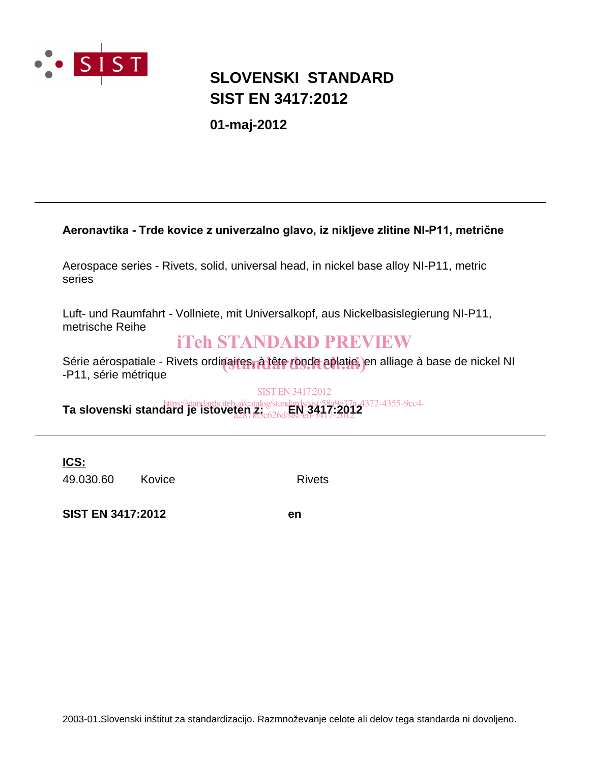

# **SIST EN 3417:2012 SLOVENSKI STANDARD**

**01-maj-2012**

### Aeronavtika - Trde kovice z univerzalno glavo, iz nikljeve zlitine NI-P11, metrične

Aerospace series - Rivets, solid, universal head, in nickel base alloy NI-P11, metric series

Luft- und Raumfahrt - Vollniete, mit Universalkopf, aus Nickelbasislegierung NI-P11, metrische Reihe

## iTeh STANDARD PREVIEW

Série aérospatiale - Rivets ordinaires nà tête ronde aplatier en alliage à base de nickel NI<br>Le 11 cérie métrique -P11, série métrique

SIST EN 3417:2012

https://standards.iteh.ai/catalog/standards/sist/58a9e37a-4372-4355-9cc4-<br>**Ta slovenski standard je istoveten z:** 6064 **EN 3417:2012** a287f65c626d/sist-en-3417-2012

**ICS:**

49.030.60 Kovice Rivets

**SIST EN 3417:2012 en**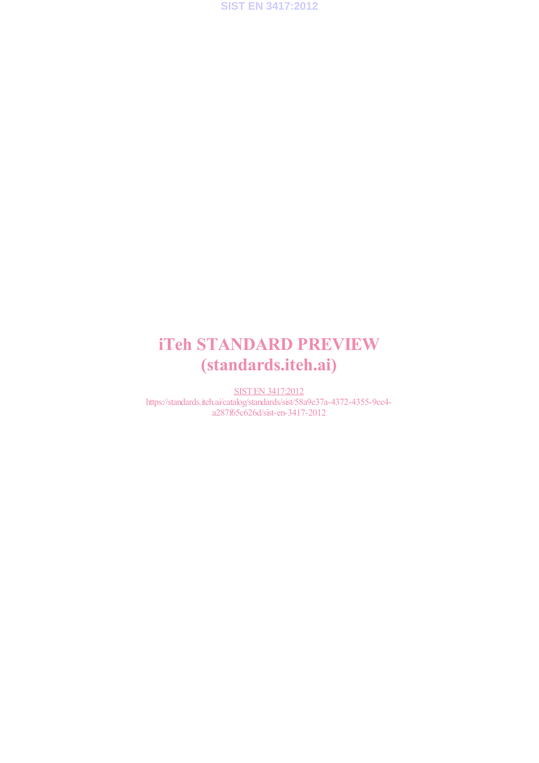

# iTeh STANDARD PREVIEW (standards.iteh.ai)

SIST EN 3417:2012 https://standards.iteh.ai/catalog/standards/sist/58a9e37a-4372-4355-9cc4 a287f65c626d/sist-en-3417-2012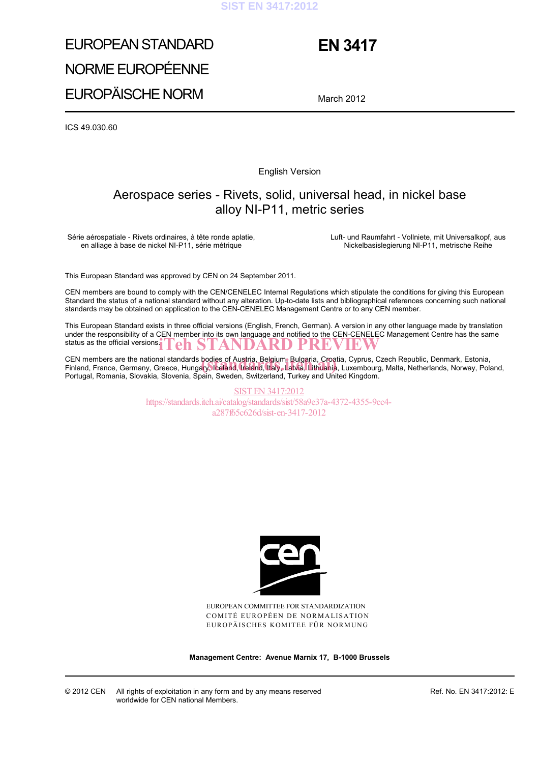#### **SIST EN 3417:2012**

# EUROPEAN STANDARD NORME EUROPÉENNE EUROPÄISCHE NORM

## **EN 3417**

March 2012

ICS 49.030.60

English Version

### Aerospace series - Rivets, solid, universal head, in nickel base alloy NI-P11, metric series

Série aérospatiale - Rivets ordinaires, à tête ronde aplatie, en alliage à base de nickel NI-P11, série métrique

 Luft- und Raumfahrt - Vollniete, mit Universalkopf, aus Nickelbasislegierung NI-P11, metrische Reihe

This European Standard was approved by CEN on 24 September 2011.

CEN members are bound to comply with the CEN/CENELEC Internal Regulations which stipulate the conditions for giving this European Standard the status of a national standard without any alteration. Up-to-date lists and bibliographical references concerning such national standards may be obtained on application to the CEN-CENELEC Management Centre or to any CEN member.

This European Standard exists in three official versions (English, French, German). A version in any other language made by translation under the responsibility of a CEN member into its own language and notified to the CEN-CENELEC Management Centre has the same status as the official versions: **Teh STANDARD PREVIEW** status as the official versions.

CEN members are the national standards bodies of Austria, Belgium, Bulgaria, Croatia, Cyprus, Czech Republic, Denmark, Estonia,<br>Finland, France, Germany, Greece, Hungary, Iceland, Ireland, Italy, Latvia, Lithuania, Luxembo Finland, France, Germany, Greece, Hungary, Iceland, Ireland, Italy, Latvia, Lithuania, Luxembourg, Malta, Netherlands, Norway, Poland, Portugal, Romania, Slovakia, Slovenia, Spain, Sweden, Switzerland, Turkey and United Kingdom.

> SIST EN 3417:2012 https://standards.iteh.ai/catalog/standards/sist/58a9e37a-4372-4355-9cc4 a287f65c626d/sist-en-3417-2012



EUROPEAN COMMITTEE FOR STANDARDIZATION COMITÉ EUROPÉEN DE NORMALISATION EUROPÄISCHES KOMITEE FÜR NORMUNG

**Management Centre: Avenue Marnix 17, B-1000 Brussels** 

© 2012 CEN All rights of exploitation in any form and by any means reserved worldwide for CEN national Members.

Ref. No. EN 3417:2012: E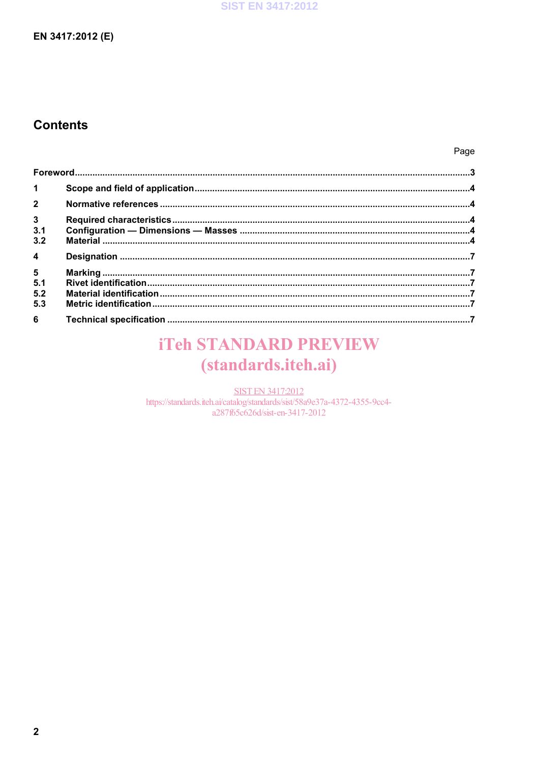#### **SIST EN 3417:2012**

### EN 3417:2012 (E)

## **Contents**

Page

| 1 <sup>1</sup> |  |
|----------------|--|
| $2^{\circ}$    |  |
| 3 <sup>7</sup> |  |
| 3.1            |  |
| 3.2            |  |
| $\overline{4}$ |  |
| 5 <sub>5</sub> |  |
| 5.1            |  |
| 5.2            |  |
| 5.3            |  |
| 6              |  |

# **iTeh STANDARD PREVIEW** (standards.iteh.ai)

**SIST EN 3417:2012** 

https://standards.iteh.ai/catalog/standards/sist/58a9e37a-4372-4355-9cc4a287f65c626d/sist-en-3417-2012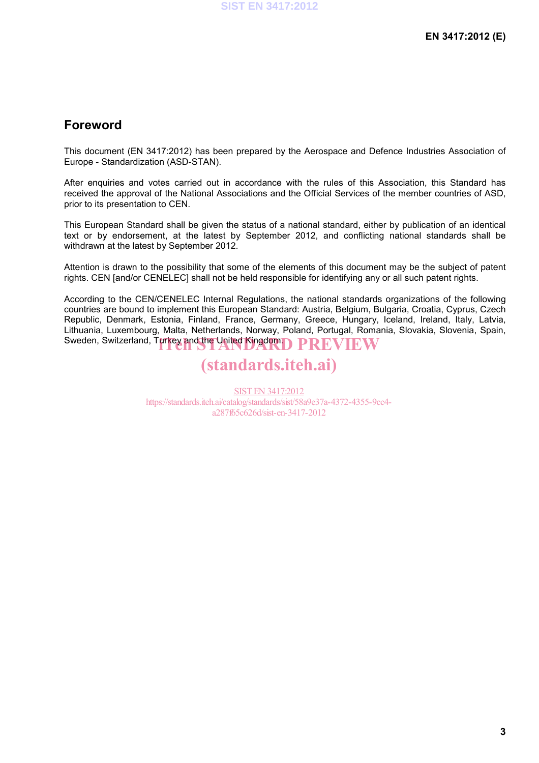### **Foreword**

This document (EN 3417:2012) has been prepared by the Aerospace and Defence Industries Association of Europe - Standardization (ASD-STAN).

After enquiries and votes carried out in accordance with the rules of this Association, this Standard has received the approval of the National Associations and the Official Services of the member countries of ASD, prior to its presentation to CEN.

This European Standard shall be given the status of a national standard, either by publication of an identical text or by endorsement, at the latest by September 2012, and conflicting national standards shall be withdrawn at the latest by September 2012.

Attention is drawn to the possibility that some of the elements of this document may be the subject of patent rights. CEN [and/or CENELEC] shall not be held responsible for identifying any or all such patent rights.

According to the CEN/CENELEC Internal Regulations, the national standards organizations of the following countries are bound to implement this European Standard: Austria, Belgium, Bulgaria, Croatia, Cyprus, Czech Republic, Denmark, Estonia, Finland, France, Germany, Greece, Hungary, Iceland, Ireland, Italy, Latvia, Lithuania, Luxembourg, Malta, Netherlands, Norway, Poland, Portugal, Romania, Slovakia, Slovenia, Spain, Sweden, Switzerland, Turkey and the United Kingdom.  $\bf PREVIEW$ 

## (standards.iteh.ai)

SIST EN 3417:2012 https://standards.iteh.ai/catalog/standards/sist/58a9e37a-4372-4355-9cc4 a287f65c626d/sist-en-3417-2012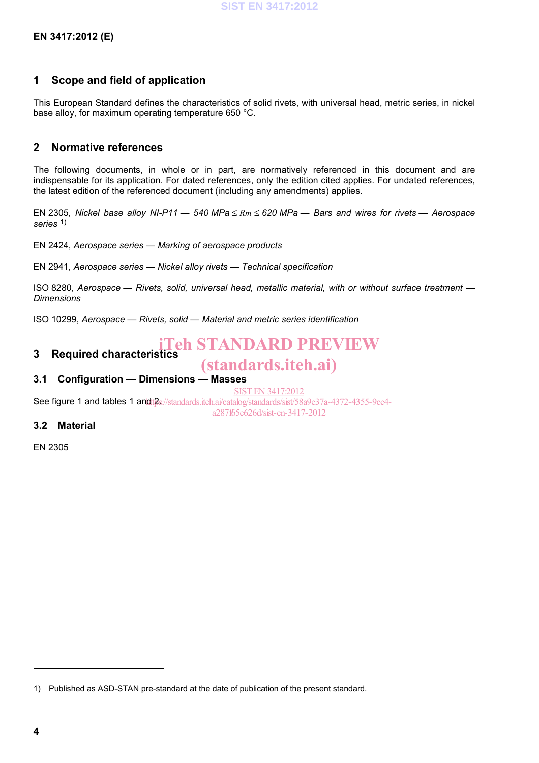#### **1 Scope and field of application**

This European Standard defines the characteristics of solid rivets, with universal head, metric series, in nickel base alloy, for maximum operating temperature 650 °C.

#### **2 Normative references**

The following documents, in whole or in part, are normatively referenced in this document and are indispensable for its application. For dated references, only the edition cited applies. For undated references, the latest edition of the referenced document (including any amendments) applies.

EN 2305, *Nickel base alloy NI-P11 — 540 MPa* ≤ *Rm* ≤ *620 MPa — Bars and wires for rivets — Aerospace series* 1)

EN 2424, *Aerospace series — Marking of aerospace products*

EN 2941, *Aerospace series — Nickel alloy rivets — Technical specification*

ISO 8280, *Aerospace — Rivets, solid, universal head, metallic material, with or without surface treatment — Dimensions*

ISO 10299, *Aerospace — Rivets, solid — Material and metric series identification*

# iTeh STANDARD PREVIEW

#### **3 Required characteristics**

# (standards.iteh.ai)

#### **3.1 Configuration — Dimensions — Masses**

SIST EN 3417:2012

See figure 1 and tables 1 and  $\frac{2s}{1}$ s://standards.iteh.ai/catalog/standards/sist/58a9e37a-4372-4355-9cc4a287f65c626d/sist-en-3417-2012

#### **3.2 Material**

EN 2305

l

<sup>1)</sup> Published as ASD-STAN pre-standard at the date of publication of the present standard.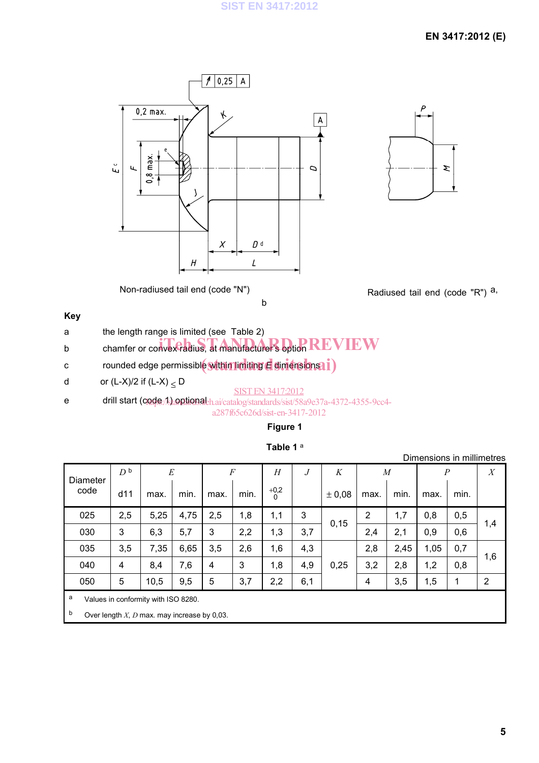#### **SIST EN 3417:2012**

#### **EN 3417:2012 (E)**





#### **Key**

- a the length range is limited (see Table 2)
- $\mathbf{b}$  chamfer or convex radius, at manufacturer's option  $\mathbf{REVIEW}$
- c counded edge permissible within limiting **E** dimensions **a** i
- d or  $(L-X)/2$  if  $(L-X) \le D$
- e drill start (code 1) optional hai/catalog/standards/sist/58a9e37a-4372-4355-9cc4-SIST EN 3417:2012 a287f65c626d/sist-en-3417-2012

#### **Figure 1**

| Table 1 <sup>a</sup> |  |
|----------------------|--|
|----------------------|--|

| Diameter                                              | D <sup>b</sup>                      | $\cal E$ |      | $\cal F$ |      | H                  | $\overline{J}$ | K      | $\overline{M}$ |      | $\overline{P}$ |      | X   |  |
|-------------------------------------------------------|-------------------------------------|----------|------|----------|------|--------------------|----------------|--------|----------------|------|----------------|------|-----|--|
| code                                                  | d11                                 | max.     | min. | max.     | min. | $+0,2$<br>$\Omega$ |                | ± 0,08 | max.           | min. | max.           | min. |     |  |
| 025                                                   | 2,5                                 | 5,25     | 4,75 | 2,5      | 1,8  | 1,1                | 3              | 0,15   | $\overline{2}$ | 1,7  | 0,8            | 0,5  | 1,4 |  |
| 030                                                   | 3                                   | 6,3      | 5,7  | 3        | 2,2  | 1,3                | 3,7            |        | 2,4            | 2,1  | 0,9            | 0,6  |     |  |
| 035                                                   | 3,5                                 | 7,35     | 6,65 | 3,5      | 2,6  | 1,6                | 4,3            |        | 2,8            | 2,45 | 1,05           | 0,7  |     |  |
| 040                                                   | 4                                   | 8,4      | 7,6  | 4        | 3    | 1,8                | 4,9            | 0.25   | 3,2            | 2,8  | 1,2            | 0,8  | 1,6 |  |
| 050                                                   | 5                                   | 10,5     | 9,5  | 5        | 3,7  | 2,2                | 6,1            |        | 4              | 3,5  | 1,5            | 1    | 2   |  |
| a                                                     | Values in conformity with ISO 8280. |          |      |          |      |                    |                |        |                |      |                |      |     |  |
| b<br>Over length $X$ , $D$ max. may increase by 0,03. |                                     |          |      |          |      |                    |                |        |                |      |                |      |     |  |

### Dimensions in millimetres